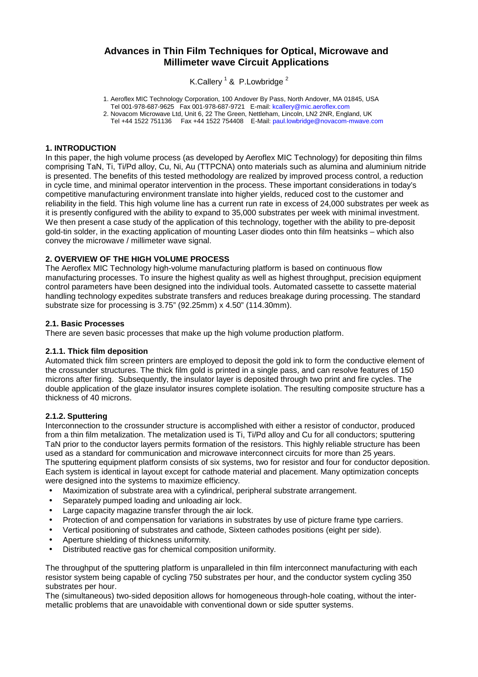# **Advances in Thin Film Techniques for Optical, Microwave and Millimeter wave Circuit Applications**

K.Callery  $^1$  & P.Lowbridge  $^2$ 

1. Aeroflex MIC Technology Corporation, 100 Andover By Pass, North Andover, MA 01845, USA

Tel 001-978-687-9625 Fax 001-978-687-9721 E-mail: [kcallery@mic.aeroflex.com](mailto:kcallery@mic.aeroflex.com)

2. Novacom Microwave Ltd, Unit 6, 22 The Green, Nettleham, Lincoln, LN2 2NR, England, UK Tel +44 1522 751136 Fax +44 1522 754408 E-Mail: [paul.lowbridge@novacom-mwave.com](mailto:paul.lowbridge@novacom-mwave.com)

#### **1. INTRODUCTION**

In this paper, the high volume process (as developed by Aeroflex MIC Technology) for depositing thin films comprising TaN, Ti, Ti/Pd alloy, Cu, Ni, Au (TTPCNA) onto materials such as alumina and aluminium nitride is presented. The benefits of this tested methodology are realized by improved process control, a reduction in cycle time, and minimal operator intervention in the process. These important considerations in today's competitive manufacturing environment translate into higher yields, reduced cost to the customer and reliability in the field. This high volume line has a current run rate in excess of 24,000 substrates per week as it is presently configured with the ability to expand to 35,000 substrates per week with minimal investment. We then present a case study of the application of this technology, together with the ability to pre-deposit gold-tin solder, in the exacting application of mounting Laser diodes onto thin film heatsinks – which also convey the microwave / millimeter wave signal.

## **2. OVERVIEW OF THE HIGH VOLUME PROCESS**

The Aeroflex MIC Technology high-volume manufacturing platform is based on continuous flow manufacturing processes. To insure the highest quality as well as highest throughput, precision equipment control parameters have been designed into the individual tools. Automated cassette to cassette material handling technology expedites substrate transfers and reduces breakage during processing. The standard substrate size for processing is 3.75" (92.25mm) x 4.50" (114.30mm).

#### **2.1. Basic Processes**

There are seven basic processes that make up the high volume production platform.

#### **2.1.1. Thick film deposition**

Automated thick film screen printers are employed to deposit the gold ink to form the conductive element of the crossunder structures. The thick film gold is printed in a single pass, and can resolve features of 150 microns after firing. Subsequently, the insulator layer is deposited through two print and fire cycles. The double application of the glaze insulator insures complete isolation. The resulting composite structure has a thickness of 40 microns.

## **2.1.2. Sputtering**

Interconnection to the crossunder structure is accomplished with either a resistor of conductor, produced from a thin film metalization. The metalization used is Ti, Ti/Pd alloy and Cu for all conductors; sputtering TaN prior to the conductor layers permits formation of the resistors. This highly reliable structure has been used as a standard for communication and microwave interconnect circuits for more than 25 years. The sputtering equipment platform consists of six systems, two for resistor and four for conductor deposition. Each system is identical in layout except for cathode material and placement. Many optimization concepts were designed into the systems to maximize efficiency.

- Maximization of substrate area with a cylindrical, peripheral substrate arrangement.
- Separately pumped loading and unloading air lock.
- Large capacity magazine transfer through the air lock.
- Protection of and compensation for variations in substrates by use of picture frame type carriers.
- Vertical positioning of substrates and cathode, Sixteen cathodes positions (eight per side).
- Aperture shielding of thickness uniformity.
- Distributed reactive gas for chemical composition uniformity.

The throughput of the sputtering platform is unparalleled in thin film interconnect manufacturing with each resistor system being capable of cycling 750 substrates per hour, and the conductor system cycling 350 substrates per hour.

The (simultaneous) two-sided deposition allows for homogeneous through-hole coating, without the intermetallic problems that are unavoidable with conventional down or side sputter systems.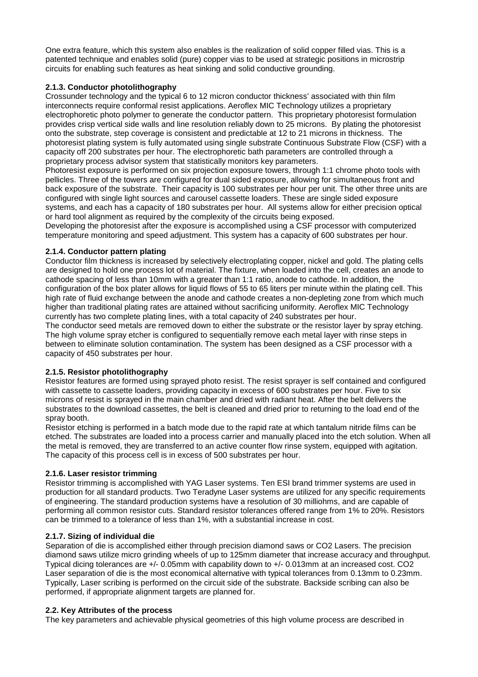One extra feature, which this system also enables is the realization of solid copper filled vias. This is a patented technique and enables solid (pure) copper vias to be used at strategic positions in microstrip circuits for enabling such features as heat sinking and solid conductive grounding.

# **2.1.3. Conductor photolithography**

Crossunder technology and the typical 6 to 12 micron conductor thickness' associated with thin film interconnects require conformal resist applications. Aeroflex MIC Technology utilizes a proprietary electrophoretic photo polymer to generate the conductor pattern. This proprietary photoresist formulation provides crisp vertical side walls and line resolution reliably down to 25 microns. By plating the photoresist onto the substrate, step coverage is consistent and predictable at 12 to 21 microns in thickness. The photoresist plating system is fully automated using single substrate Continuous Substrate Flow (CSF) with a capacity off 200 substrates per hour. The electrophoretic bath parameters are controlled through a proprietary process advisor system that statistically monitors key parameters.

Photoresist exposure is performed on six projection exposure towers, through 1:1 chrome photo tools with pellicles. Three of the towers are configured for dual sided exposure, allowing for simultaneous front and back exposure of the substrate. Their capacity is 100 substrates per hour per unit. The other three units are configured with single light sources and carousel cassette loaders. These are single sided exposure systems, and each has a capacity of 180 substrates per hour. All systems allow for either precision optical or hard tool alignment as required by the complexity of the circuits being exposed.

Developing the photoresist after the exposure is accomplished using a CSF processor with computerized temperature monitoring and speed adjustment. This system has a capacity of 600 substrates per hour.

## **2.1.4. Conductor pattern plating**

Conductor film thickness is increased by selectively electroplating copper, nickel and gold. The plating cells are designed to hold one process lot of material. The fixture, when loaded into the cell, creates an anode to cathode spacing of less than 10mm with a greater than 1:1 ratio, anode to cathode. In addition, the configuration of the box plater allows for liquid flows of 55 to 65 liters per minute within the plating cell. This high rate of fluid exchange between the anode and cathode creates a non-depleting zone from which much higher than traditional plating rates are attained without sacrificing uniformity. Aeroflex MIC Technology currently has two complete plating lines, with a total capacity of 240 substrates per hour.

The conductor seed metals are removed down to either the substrate or the resistor layer by spray etching. The high volume spray etcher is configured to sequentially remove each metal layer with rinse steps in between to eliminate solution contamination. The system has been designed as a CSF processor with a capacity of 450 substrates per hour.

## **2.1.5. Resistor photolithography**

Resistor features are formed using sprayed photo resist. The resist sprayer is self contained and configured with cassette to cassette loaders, providing capacity in excess of 600 substrates per hour. Five to six microns of resist is sprayed in the main chamber and dried with radiant heat. After the belt delivers the substrates to the download cassettes, the belt is cleaned and dried prior to returning to the load end of the spray booth.

Resistor etching is performed in a batch mode due to the rapid rate at which tantalum nitride films can be etched. The substrates are loaded into a process carrier and manually placed into the etch solution. When all the metal is removed, they are transferred to an active counter flow rinse system, equipped with agitation. The capacity of this process cell is in excess of 500 substrates per hour.

## **2.1.6. Laser resistor trimming**

Resistor trimming is accomplished with YAG Laser systems. Ten ESI brand trimmer systems are used in production for all standard products. Two Teradyne Laser systems are utilized for any specific requirements of engineering. The standard production systems have a resolution of 30 milliohms, and are capable of performing all common resistor cuts. Standard resistor tolerances offered range from 1% to 20%. Resistors can be trimmed to a tolerance of less than 1%, with a substantial increase in cost.

## **2.1.7. Sizing of individual die**

Separation of die is accomplished either through precision diamond saws or CO2 Lasers. The precision diamond saws utilize micro grinding wheels of up to 125mm diameter that increase accuracy and throughput. Typical dicing tolerances are +/- 0.05mm with capability down to +/- 0.013mm at an increased cost. CO2 Laser separation of die is the most economical alternative with typical tolerances from 0.13mm to 0.23mm. Typically, Laser scribing is performed on the circuit side of the substrate. Backside scribing can also be performed, if appropriate alignment targets are planned for.

#### **2.2. Key Attributes of the process**

The key parameters and achievable physical geometries of this high volume process are described in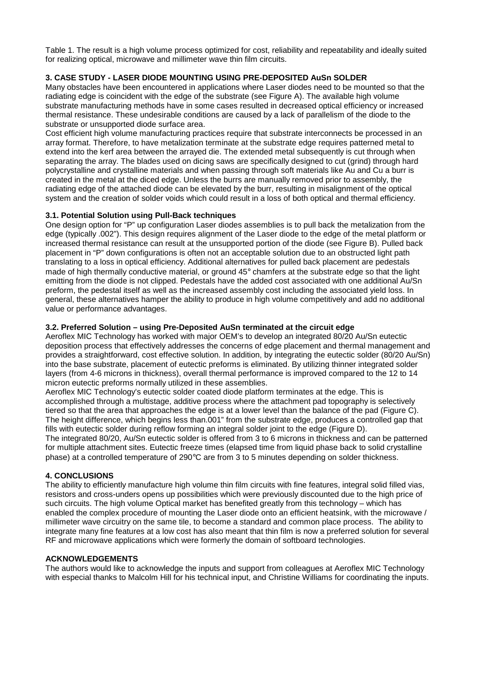Table 1. The result is a high volume process optimized for cost, reliability and repeatability and ideally suited for realizing optical, microwave and millimeter wave thin film circuits.

# **3. CASE STUDY - LASER DIODE MOUNTING USING PRE-DEPOSITED AuSn SOLDER**

Many obstacles have been encountered in applications where Laser diodes need to be mounted so that the radiating edge is coincident with the edge of the substrate (see Figure A). The available high volume substrate manufacturing methods have in some cases resulted in decreased optical efficiency or increased thermal resistance. These undesirable conditions are caused by a lack of parallelism of the diode to the substrate or unsupported diode surface area.

Cost efficient high volume manufacturing practices require that substrate interconnects be processed in an array format. Therefore, to have metalization terminate at the substrate edge requires patterned metal to extend into the kerf area between the arrayed die. The extended metal subsequently is cut through when separating the array. The blades used on dicing saws are specifically designed to cut (grind) through hard polycrystalline and crystalline materials and when passing through soft materials like Au and Cu a burr is created in the metal at the diced edge. Unless the burrs are manually removed prior to assembly, the radiating edge of the attached diode can be elevated by the burr, resulting in misalignment of the optical system and the creation of solder voids which could result in a loss of both optical and thermal efficiency.

## **3.1. Potential Solution using Pull-Back techniques**

One design option for "P" up configuration Laser diodes assemblies is to pull back the metalization from the edge (typically .002"). This design requires alignment of the Laser diode to the edge of the metal platform or increased thermal resistance can result at the unsupported portion of the diode (see Figure B). Pulled back placement in "P" down configurations is often not an acceptable solution due to an obstructed light path translating to a loss in optical efficiency. Additional alternatives for pulled back placement are pedestals made of high thermally conductive material, or ground 45° chamfers at the substrate edge so that the light emitting from the diode is not clipped. Pedestals have the added cost associated with one additional Au/Sn preform, the pedestal itself as well as the increased assembly cost including the associated yield loss. In general, these alternatives hamper the ability to produce in high volume competitively and add no additional value or performance advantages.

## **3.2. Preferred Solution – using Pre-Deposited AuSn terminated at the circuit edge**

Aeroflex MIC Technology has worked with major OEM's to develop an integrated 80/20 Au/Sn eutectic deposition process that effectively addresses the concerns of edge placement and thermal management and provides a straightforward, cost effective solution. In addition, by integrating the eutectic solder (80/20 Au/Sn) into the base substrate, placement of eutectic preforms is eliminated. By utilizing thinner integrated solder layers (from 4-6 microns in thickness), overall thermal performance is improved compared to the 12 to 14 micron eutectic preforms normally utilized in these assemblies.

Aeroflex MIC Technology's eutectic solder coated diode platform terminates at the edge. This is accomplished through a multistage, additive process where the attachment pad topography is selectively tiered so that the area that approaches the edge is at a lower level than the balance of the pad (Figure C). The height difference, which begins less than.001" from the substrate edge, produces a controlled gap that fills with eutectic solder during reflow forming an integral solder joint to the edge (Figure D).

The integrated 80/20, Au/Sn eutectic solder is offered from 3 to 6 microns in thickness and can be patterned for multiple attachment sites. Eutectic freeze times (elapsed time from liquid phase back to solid crystalline phase) at a controlled temperature of 290°C are from 3 to 5 minutes depending on solder thickness.

#### **4. CONCLUSIONS**

The ability to efficiently manufacture high volume thin film circuits with fine features, integral solid filled vias, resistors and cross-unders opens up possibilities which were previously discounted due to the high price of such circuits. The high volume Optical market has benefited greatly from this technology – which has enabled the complex procedure of mounting the Laser diode onto an efficient heatsink, with the microwave / millimeter wave circuitry on the same tile, to become a standard and common place process. The ability to integrate many fine features at a low cost has also meant that thin film is now a preferred solution for several RF and microwave applications which were formerly the domain of softboard technologies.

#### **ACKNOWLEDGEMENTS**

The authors would like to acknowledge the inputs and support from colleagues at Aeroflex MIC Technology with especial thanks to Malcolm Hill for his technical input, and Christine Williams for coordinating the inputs.